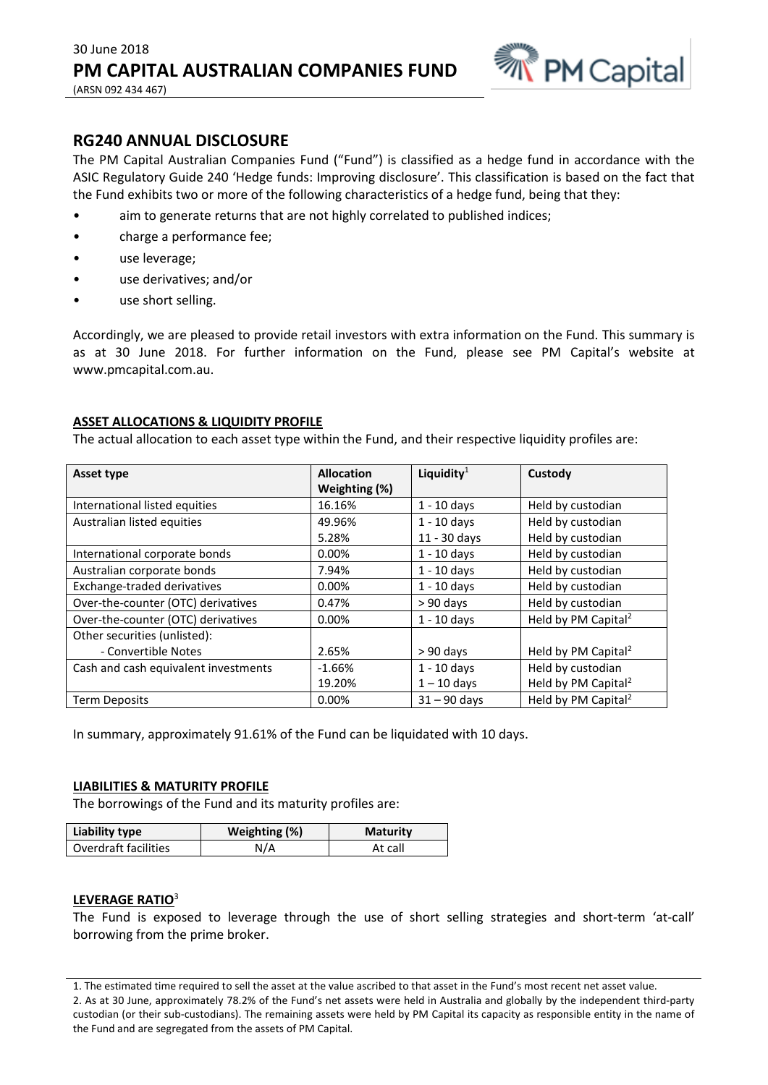

# **RG240 ANNUAL DISCLOSURE**

The PM Capital Australian Companies Fund ("Fund") is classified as a hedge fund in accordance with the ASIC Regulatory Guide 240 'Hedge funds: Improving disclosure'. This classification is based on the fact that the Fund exhibits two or more of the following characteristics of a hedge fund, being that they:

- aim to generate returns that are not highly correlated to published indices;
- charge a performance fee;
- use leverage;
- use derivatives; and/or
- use short selling.

Accordingly, we are pleased to provide retail investors with extra information on the Fund. This summary is as at 30 June 2018. For further information on the Fund, please see PM Capital's website at www.pmcapital.com.au.

### **ASSET ALLOCATIONS & LIQUIDITY PROFILE**

The actual allocation to each asset type within the Fund, and their respective liquidity profiles are:

| Asset type                           | <b>Allocation</b> | Liquidity $1$  | Custody                         |
|--------------------------------------|-------------------|----------------|---------------------------------|
|                                      | Weighting (%)     |                |                                 |
| International listed equities        | 16.16%            | $1 - 10$ days  | Held by custodian               |
| Australian listed equities           | 49.96%            | $1 - 10$ days  | Held by custodian               |
|                                      | 5.28%             | 11 - 30 days   | Held by custodian               |
| International corporate bonds        | $0.00\%$          | $1 - 10$ days  | Held by custodian               |
| Australian corporate bonds           | 7.94%             | $1 - 10$ days  | Held by custodian               |
| Exchange-traded derivatives          | $0.00\%$          | $1 - 10$ days  | Held by custodian               |
| Over-the-counter (OTC) derivatives   | 0.47%             | $> 90$ days    | Held by custodian               |
| Over-the-counter (OTC) derivatives   | 0.00%             | $1 - 10$ days  | Held by PM Capital <sup>2</sup> |
| Other securities (unlisted):         |                   |                |                                 |
| - Convertible Notes                  | 2.65%             | $> 90$ days    | Held by PM Capital <sup>2</sup> |
| Cash and cash equivalent investments | $-1.66%$          | $1 - 10$ days  | Held by custodian               |
|                                      | 19.20%            | $1 - 10$ days  | Held by PM Capital <sup>2</sup> |
| <b>Term Deposits</b>                 | 0.00%             | $31 - 90$ davs | Held by PM Capital <sup>2</sup> |

In summary, approximately 91.61% of the Fund can be liquidated with 10 days.

#### **LIABILITIES & MATURITY PROFILE**

The borrowings of the Fund and its maturity profiles are:

| Liability type       | Weighting (%) | <b>Maturity</b> |
|----------------------|---------------|-----------------|
| Overdraft facilities | N/A           | At call         |

#### **LEVERAGE RATIO**<sup>3</sup>

The Fund is exposed to leverage through the use of short selling strategies and short-term 'at-call' borrowing from the prime broker.

<sup>1.</sup> The estimated time required to sell the asset at the value ascribed to that asset in the Fund's most recent net asset value. 2. As at 30 June, approximately 78.2% of the Fund's net assets were held in Australia and globally by the independent third-party custodian (or their sub-custodians). The remaining assets were held by PM Capital its capacity as responsible entity in the name of the Fund and are segregated from the assets of PM Capital.